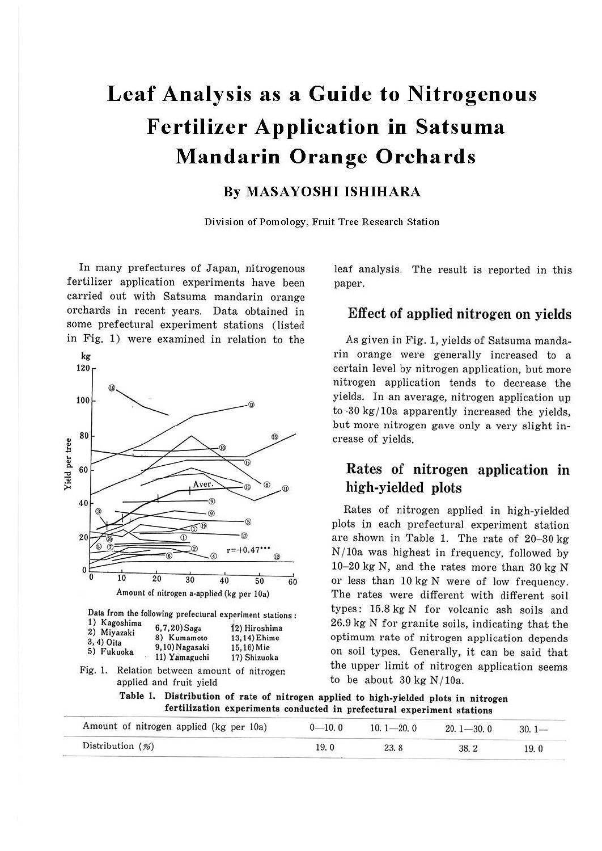# Leaf Analysis as a Guide to Nitrogenous **Fertilizer Application in Satsuma Mandarin Orange Orchards**

## **By MASAYOSHI ISHIHARA**

Division of Pomology, Fruit Tree Research Station

In many prefectures of Japan, nitrogenous fertilizer application experiments have been carried out with Satsuma mandarin orange orchards in recent years. Data obtained in some prefectural experiment stations (listed in Fig. 1) were examined in relation to the



leaf analysis. The result is reported in this paper.

## **Effect of applied nitrogen on vields**

As given in Fig. 1, yields of Satsuma mandarin orange were generally increased to a certain level by nitrogen application, but more nitrogen application tends to decrease the yields. In an average, nitrogen application up to 30 kg/10a apparently increased the yields, but more nitrogen gave only a very slight increase of vields.

# Rates of nitrogen application in high-yielded plots

Rates of nitrogen applied in high-vielded plots in each prefectural experiment station are shown in Table 1. The rate of 20-30 kg  $N/10a$  was highest in frequency, followed by 10-20 kg N, and the rates more than 30 kg N or less than 10 kg N were of low frequency. The rates were different with different soil types: 15.8 kg N for volcanic ash soils and 26.9 kg N for granite soils, indicating that the optimum rate of nitrogen application depends on soil types. Generally, it can be said that the upper limit of nitrogen application seems to be about  $30 \text{ kg N}/10a$ .

Table 1. Distribution of rate of nitrogen applied to high-yielded plots in nitrogen fertilization experiments conducted in prefectural experiment stations

| Amount of nitrogen applied (kg per 10a) | $0 - 10.0$ | $10.1 - 20.0$ | $20.1 - 30.0$ | $30.1 -$ |
|-----------------------------------------|------------|---------------|---------------|----------|
| Distribution $(\%)$                     | 19.0       | 23.8          | 38.2          | 19.0     |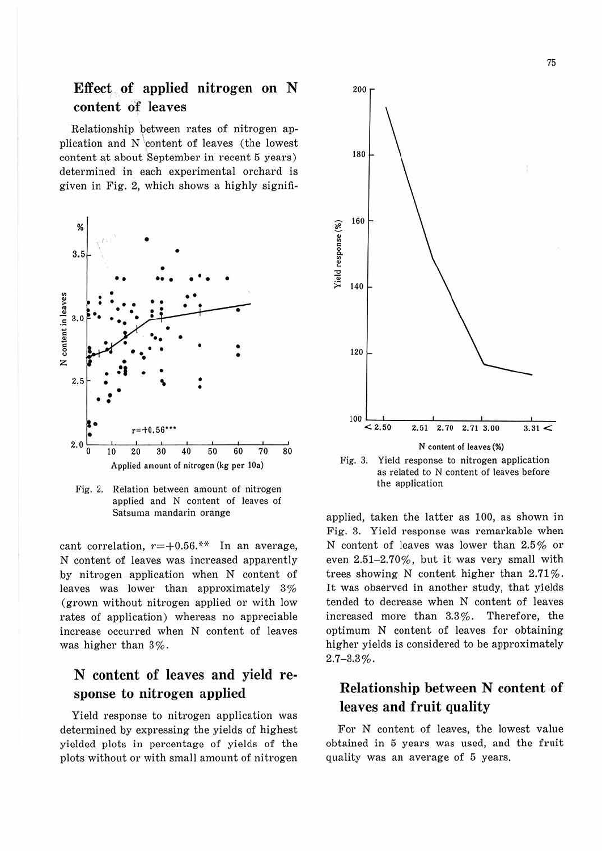## **Effect** of applied nitrogen on N **content o'f leaves**

Relationship between rates of nitrogen application and N 'content of leaves (the lowest content at about 'September in recent 5 years) determined in each experimental orchard is given in Fig. 2, which shows a highly signifi-



Fig. 2. Relation between amount of nitrogen applied and N content of leaves of Satsuma mandarin orange

cant correlation,  $r=+0.56$ .\*\* In an average, N content of leaves was increased apparently by nitrogen application when N content of leaves was lower than approximately 3% (grown without nitrogen applied or with low rates of application) whereas no appreciable increase occurred when N content of leaves was higher than 3%.

# **N content of leaves and yield response to nitrogen applied**

Yield response to nitrogen application was determined by expressing the yields of highest yielded plots in percentage of yields of the plots without or with small amount of nitrogen



applied, taken the latter as 100, as shown in Fig. 3. Yield response was remarkable when N content of leaves was lower than 2.5% or even 2.51-2.70%, but it was very small with trees showing N content higher than 2.71%. It was observed in another study, that yields tended to decrease when N content of leaves increased more than 3.3%. Therefore, the optimum N content of leaves for obtaining higher yields is considered to be approximately  $2.7 - 3.3\%$ .

# **Relationship between N content of leaves and fruit quality**

For N content of leaves, the lowest value obtained in 5 years was used, and the fruit quality was an average of 5 years.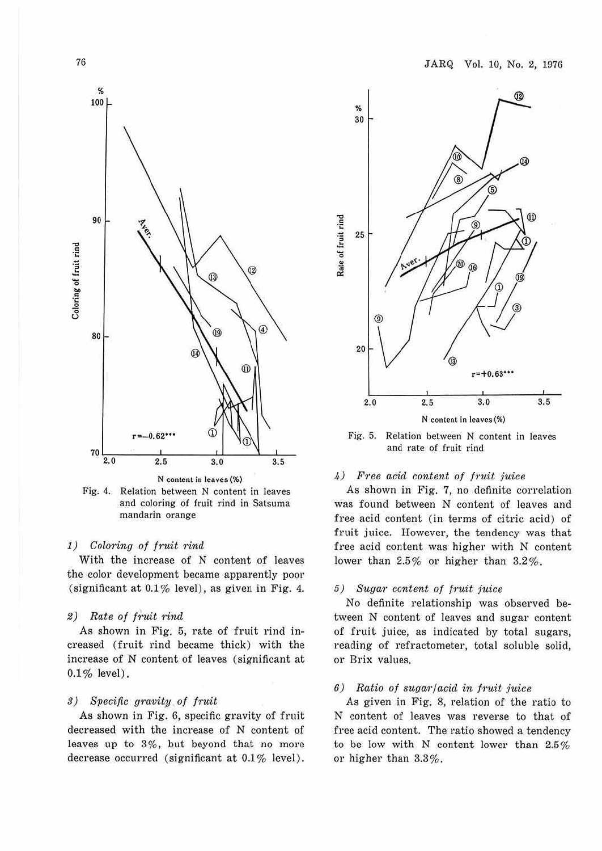



#### 1) Coloring of fruit rind

With the increase of N content of leaves the color development became apparently poor (significant at  $0.1\%$  level), as given in Fig. 4.

#### 2) Rate of fruit rind

As shown in Fig. 5, rate of fruit rind increased (fruit rind became thick) with the increase of N content of leaves (significant at  $0.1\%$  level).

#### 3) Specific gravity of fruit

As shown in Fig. 6, specific gravity of fruit decreased with the increase of N content of leaves up to 3%, but beyond that no more decrease occurred (significant at 0.1% level).



Fig. 5. Relation between N content in leaves and rate of fruit rind

#### 4) Free acid content of fruit juice

As shown in Fig. 7, no definite correlation was found between N content of leaves and free acid content (in terms of citric acid) of fruit juice. However, the tendency was that free acid content was higher with N content lower than 2.5% or higher than 3.2%.

#### 5) Sugar content of fruit juice

No definite relationship was observed between N content of leaves and sugar content of fruit juice, as indicated by total sugars, reading of refractometer, total soluble solid, or Brix values.

#### $6)$  Ratio of sugar/acid in fruit juice

As given in Fig. 8, relation of the ratio to N content of leaves was reverse to that of free acid content. The ratio showed a tendency to be low with N content lower than 2.5% or higher than 3.3%.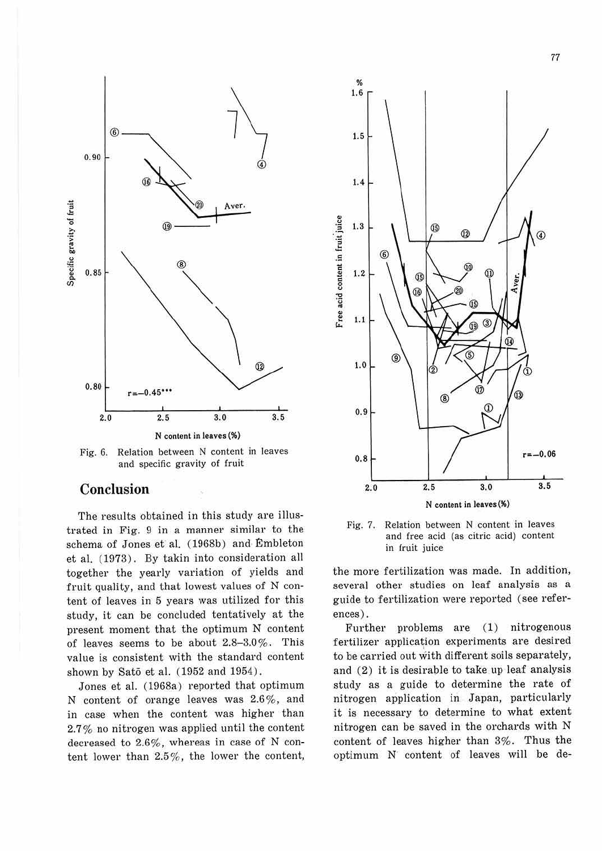

Fig. 6. Relation between N content in leaves and specific gravity of fruit

## **Conclusion**

The results obtained in this study are illustrated in Fig. 9 in a manner similar to the schema of Jones et al. (1968b) and Embleton et al. (1973). By takin into consideration all together the yearly variation of yields and fruit quality, and that lowest values of N content of leaves in 5 years was utilized for this study, it can be concluded tentatively at the present moment that the optimum N content of leaves seems to be about 2.8-3.0%. This value is consistent with the standard content shown by Sato et al. (1952 and 1954) .

Jones et al. (1968a) reported that optimum N content of orange leaves was 2.6%, and in case when the content was higher than 2.7% no nitrogen was applied until the content decreased to 2.6%, whereas in case of N content lower than 2.5 %, the lower the content,



Fig. 7. Relation between N content in leaves and free acid (as citric acid) content in fruit juice

the more fertilization was made. In addition, several other studies on leaf analysis as a guide to fertilization were reported (see references) .

Further problems are (1) nitrogenous fertilizer application experiments are desired to be carried out with different soils separately, and (2) it is desirable to take up leaf analysis study as a guide to determine the rate of nitrogen application in Japan, particularly it is necessary to determine to what extent nitrogen can be saved in the orchards with N content of leaves higher than 3%. Thus the optimum N content of leaves will be de-